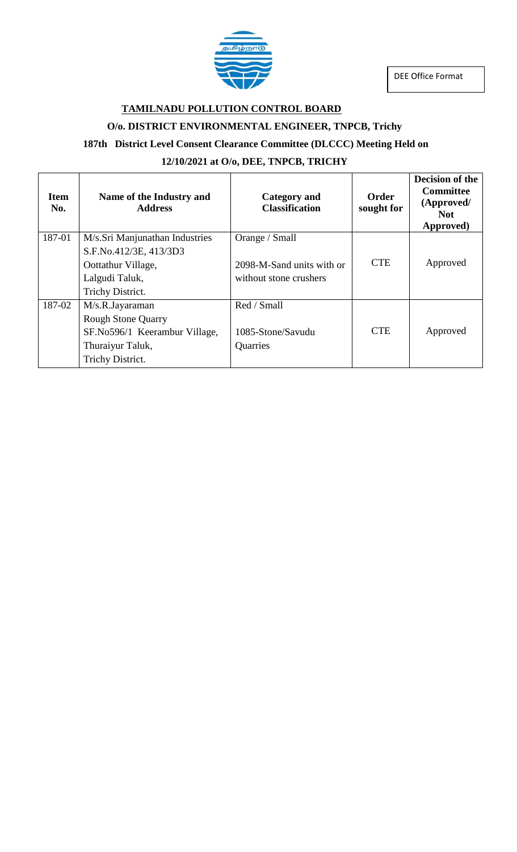



### **TAMILNADU POLLUTION CONTROL BOARD**

#### **O/o. DISTRICT ENVIRONMENTAL ENGINEER, TNPCB, Trichy**

### **187th District Level Consent Clearance Committee (DLCCC) Meeting Held on**

#### **12/10/2021 at O/o, DEE, TNPCB, TRICHY**

| <b>Item</b><br>No. | Name of the Industry and<br><b>Address</b> | <b>Category</b> and<br><b>Classification</b> | <b>Order</b><br>sought for | <b>Decision of the</b><br><b>Committee</b><br>(Approved/<br><b>Not</b><br>Approved) |
|--------------------|--------------------------------------------|----------------------------------------------|----------------------------|-------------------------------------------------------------------------------------|
| 187-01             | M/s.Sri Manjunathan Industries             | Orange / Small                               |                            |                                                                                     |
|                    | S.F.No.412/3E, 413/3D3                     |                                              |                            |                                                                                     |
|                    | Oottathur Village,                         | 2098-M-Sand units with or                    | <b>CTE</b>                 | Approved                                                                            |
|                    | Lalgudi Taluk,                             | without stone crushers                       |                            |                                                                                     |
|                    | Trichy District.                           |                                              |                            |                                                                                     |
| 187-02             | M/s.R.Jayaraman                            | Red / Small                                  |                            |                                                                                     |
|                    | <b>Rough Stone Quarry</b>                  |                                              |                            |                                                                                     |
|                    | SF.No596/1 Keerambur Village,              | 1085-Stone/Savudu                            | <b>CTE</b>                 | Approved                                                                            |
|                    | Thuraiyur Taluk,                           | Quarries                                     |                            |                                                                                     |
|                    | Trichy District.                           |                                              |                            |                                                                                     |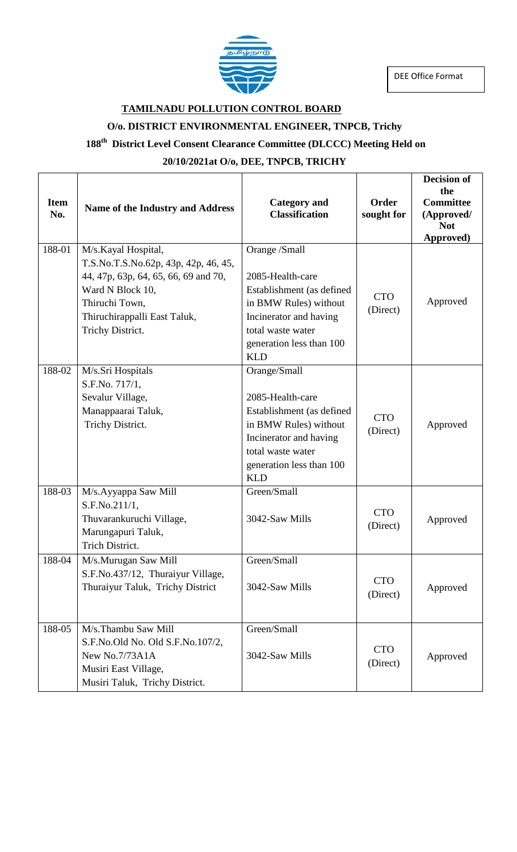

DEE Office Format

### **TAMILNADU POLLUTION CONTROL BOARD**

# **O/o. DISTRICT ENVIRONMENTAL ENGINEER, TNPCB, Trichy**

#### **188 th District Level Consent Clearance Committee (DLCCC) Meeting Held on**

# **20/10/2021at O/o, DEE, TNPCB, TRICHY**

| <b>Item</b><br>No. | Name of the Industry and Address                                                                                                                                                              | <b>Category</b> and<br><b>Classification</b>                                                                                                                                     | <b>Order</b><br>sought for | <b>Decision of</b><br>the<br><b>Committee</b><br>(Approved/<br><b>Not</b><br>Approved) |
|--------------------|-----------------------------------------------------------------------------------------------------------------------------------------------------------------------------------------------|----------------------------------------------------------------------------------------------------------------------------------------------------------------------------------|----------------------------|----------------------------------------------------------------------------------------|
| 188-01             | M/s.Kayal Hospital,<br>T.S.No.T.S.No.62p, 43p, 42p, 46, 45,<br>44, 47p, 63p, 64, 65, 66, 69 and 70,<br>Ward N Block 10,<br>Thiruchi Town,<br>Thiruchirappalli East Taluk,<br>Trichy District. | Orange /Small<br>2085-Health-care<br>Establishment (as defined<br>in BMW Rules) without<br>Incinerator and having<br>total waste water<br>generation less than 100<br><b>KLD</b> | <b>CTO</b><br>(Direct)     | Approved                                                                               |
| 188-02             | M/s.Sri Hospitals<br>S.F.No. 717/1,<br>Sevalur Village,<br>Manappaarai Taluk,<br>Trichy District.                                                                                             | Orange/Small<br>2085-Health-care<br>Establishment (as defined<br>in BMW Rules) without<br>Incinerator and having<br>total waste water<br>generation less than 100<br><b>KLD</b>  | <b>CTO</b><br>(Direct)     | Approved                                                                               |
| 188-03             | M/s.Ayyappa Saw Mill<br>S.F.No.211/1,<br>Thuvarankuruchi Village,<br>Marungapuri Taluk,<br>Trich District.                                                                                    | Green/Small<br>3042-Saw Mills                                                                                                                                                    | <b>CTO</b><br>(Direct)     | Approved                                                                               |
| 188-04             | M/s.Murugan Saw Mill<br>S.F.No.437/12, Thuraiyur Village,<br>Thuraiyur Taluk, Trichy District                                                                                                 | Green/Small<br>3042-Saw Mills                                                                                                                                                    | <b>CTO</b><br>(Direct)     | Approved                                                                               |
| 188-05             | M/s.Thambu Saw Mill<br>S.F.No.Old No. Old S.F.No.107/2,<br>New No.7/73A1A<br>Musiri East Village,<br>Musiri Taluk, Trichy District.                                                           | Green/Small<br>3042-Saw Mills                                                                                                                                                    | <b>CTO</b><br>(Direct)     | Approved                                                                               |